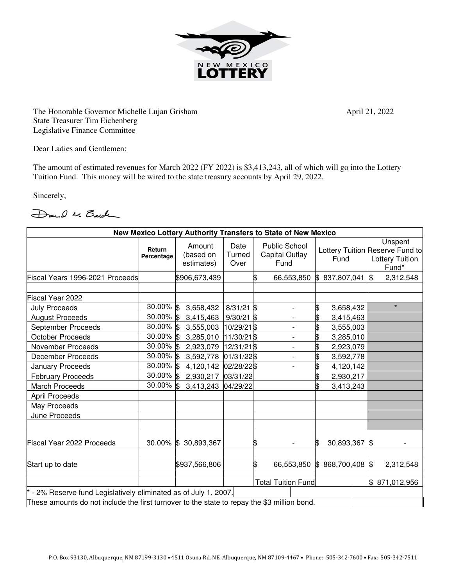

The Honorable Governor Michelle Lujan Grisham April 21, 2022 State Treasurer Tim Eichenberg Legislative Finance Committee

Dear Ladies and Gentlemen:

The amount of estimated revenues for March 2022 (FY 2022) is \$3,413,243, all of which will go into the Lottery Tuition Fund. This money will be wired to the state treasury accounts by April 29, 2022.

Sincerely,

Dand M Barch

| New Mexico Lottery Authority Transfers to State of New Mexico                               |                      |                                   |                        |    |                                                |                       |  |                                                                               |
|---------------------------------------------------------------------------------------------|----------------------|-----------------------------------|------------------------|----|------------------------------------------------|-----------------------|--|-------------------------------------------------------------------------------|
|                                                                                             | Return<br>Percentage | Amount<br>(based on<br>estimates) | Date<br>Turned<br>Over |    | <b>Public School</b><br>Capital Outlay<br>Fund | Fund                  |  | Unspent<br>Lottery Tuition Reserve Fund to<br><b>Lottery Tuition</b><br>Fund* |
| Fiscal Years 1996-2021 Proceeds                                                             |                      | \$906,673,439                     |                        | \$ | 66,553,850                                     | 837,807,041<br>\$     |  | \$<br>2,312,548                                                               |
|                                                                                             |                      |                                   |                        |    |                                                |                       |  |                                                                               |
| Fiscal Year 2022                                                                            |                      |                                   |                        |    |                                                |                       |  |                                                                               |
| <b>July Proceeds</b>                                                                        | 30.00% \$            | 3,658,432                         | $8/31/21$ \$           |    | $\overline{\phantom{0}}$                       | \$<br>3,658,432       |  | $\star$                                                                       |
| <b>August Proceeds</b>                                                                      | 30.00% \$            | 3,415,463                         | $9/30/21$ \$           |    | $\overline{a}$                                 | \$<br>3,415,463       |  |                                                                               |
| September Proceeds                                                                          | 30.00% \$            | 3,555,003                         | 10/29/21 \$            |    |                                                | 3,555,003             |  |                                                                               |
| <b>October Proceeds</b>                                                                     | 30.00% \$            | 3,285,010                         | 11/30/21\$             |    |                                                | 3,285,010             |  |                                                                               |
| <b>November Proceeds</b>                                                                    | 30.00% \$            | 2,923,079                         | 12/31/21 \$            |    | -                                              | \$<br>2,923,079       |  |                                                                               |
| <b>December Proceeds</b>                                                                    | 30.00% \$            | 3,592,778                         | 01/31/22\$             |    | $\overline{\phantom{a}}$                       | \$<br>3,592,778       |  |                                                                               |
| January Proceeds                                                                            | 30.00% \$            | 4,120,142                         | 02/28/22\$             |    | $\overline{\phantom{a}}$                       | 4,120,142             |  |                                                                               |
| <b>February Proceeds</b>                                                                    | $30.00\%$ \$         | 2,930,217                         | 03/31/22               |    |                                                | \$<br>2,930,217       |  |                                                                               |
| <b>March Proceeds</b>                                                                       | 30.00% \$            | 3,413,243                         | 04/29/22               |    |                                                | 3,413,243             |  |                                                                               |
| <b>April Proceeds</b>                                                                       |                      |                                   |                        |    |                                                |                       |  |                                                                               |
| May Proceeds                                                                                |                      |                                   |                        |    |                                                |                       |  |                                                                               |
| June Proceeds                                                                               |                      |                                   |                        |    |                                                |                       |  |                                                                               |
| Fiscal Year 2022 Proceeds                                                                   | $30.00\%$ \$         | 30,893,367                        |                        | \$ |                                                | $30,893,367$ \$<br>\$ |  |                                                                               |
| Start up to date                                                                            |                      | \$937,566,806                     |                        | \$ | 66,553,850                                     | \$868,700,408         |  | $\sqrt[6]{3}$<br>2,312,548                                                    |
|                                                                                             |                      |                                   |                        |    | <b>Total Tuition Fund</b>                      |                       |  | \$871,012,956                                                                 |
| - 2% Reserve fund Legislatively eliminated as of July 1, 2007.                              |                      |                                   |                        |    |                                                |                       |  |                                                                               |
| These amounts do not include the first turnover to the state to repay the \$3 million bond. |                      |                                   |                        |    |                                                |                       |  |                                                                               |
|                                                                                             |                      |                                   |                        |    |                                                |                       |  |                                                                               |